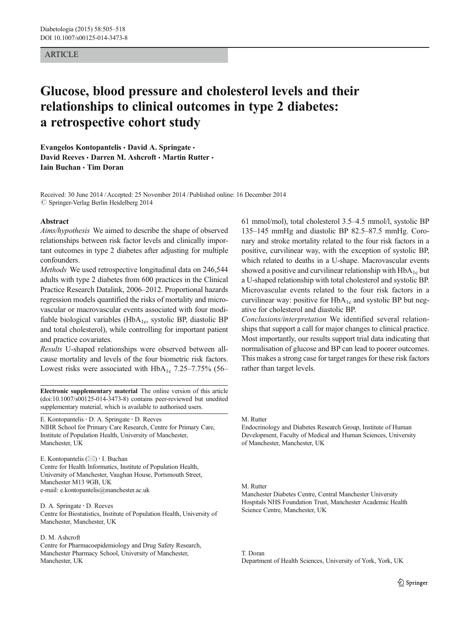#### ARTICLE

# Glucose, blood pressure and cholesterol levels and their relationships to clinical outcomes in type 2 diabetes: a retrospective cohort study

Evangelos Kontopantelis · David A. Springate · David Reeves · Darren M. Ashcroft · Martin Rutter · Iain Buchan & Tim Doran

Received: 30 June 2014 /Accepted: 25 November 2014 /Published online: 16 December 2014  $\oslash$  Springer-Verlag Berlin Heidelberg 2014

#### Abstract

Aims/hypothesis We aimed to describe the shape of observed relationships between risk factor levels and clinically important outcomes in type 2 diabetes after adjusting for multiple confounders.

Methods We used retrospective longitudinal data on 246,544 adults with type 2 diabetes from 600 practices in the Clinical Practice Research Datalink, 2006–2012. Proportional hazards regression models quantified the risks of mortality and microvascular or macrovascular events associated with four modifiable biological variables (HbA<sub>1c</sub>, systolic BP, diastolic BP and total cholesterol), while controlling for important patient and practice covariates.

Results U-shaped relationships were observed between allcause mortality and levels of the four biometric risk factors. Lowest risks were associated with  $HbA_{1c}$  7.25–7.75% (56–

Electronic supplementary material The online version of this article (doi[:10.1007/s00125-014-3473-8](http://dx.doi.org/10.1007/s00125-014-3473-8)) contains peer-reviewed but unedited supplementary material, which is available to authorised users.

E. Kontopantelis · D. A. Springate · D. Reeves

NIHR School for Primary Care Research, Centre for Primary Care, Institute of Population Health, University of Manchester, Manchester, UK

E. Kontopantelis  $(\boxtimes) \cdot$  I. Buchan Centre for Health Informatics, Institute of Population Health, University of Manchester, Vaughan House, Portsmouth Street, Manchester M13 9GB, UK

e-mail: e.kontopantelis@manchester.ac.uk

D. A. Springate : D. Reeves Centre for Biostatistics, Institute of Population Health, University of Manchester, Manchester, UK

#### D. M. Ashcroft

Centre for Pharmacoepidemiology and Drug Safety Research, Manchester Pharmacy School, University of Manchester, Manchester, UK

61 mmol/mol), total cholesterol 3.5–4.5 mmol/l, systolic BP 135–145 mmHg and diastolic BP 82.5–87.5 mmHg. Coronary and stroke mortality related to the four risk factors in a positive, curvilinear way, with the exception of systolic BP, which related to deaths in a U-shape. Macrovascular events showed a positive and curvilinear relationship with  $HbA_{1c}$  but a U-shaped relationship with total cholesterol and systolic BP. Microvascular events related to the four risk factors in a curvilinear way: positive for  $HbA_{1c}$  and systolic BP but negative for cholesterol and diastolic BP.

Conclusions/interpretation We identified several relationships that support a call for major changes to clinical practice. Most importantly, our results support trial data indicating that normalisation of glucose and BP can lead to poorer outcomes. This makes a strong case for target ranges for these risk factors rather than target levels.

M. Rutter

Endocrinology and Diabetes Research Group, Institute of Human Development, Faculty of Medical and Human Sciences, University of Manchester, Manchester, UK

#### M. Rutter

Manchester Diabetes Centre, Central Manchester University Hospitals NHS Foundation Trust, Manchester Academic Health Science Centre, Manchester, UK

T. Doran Department of Health Sciences, University of York, York, UK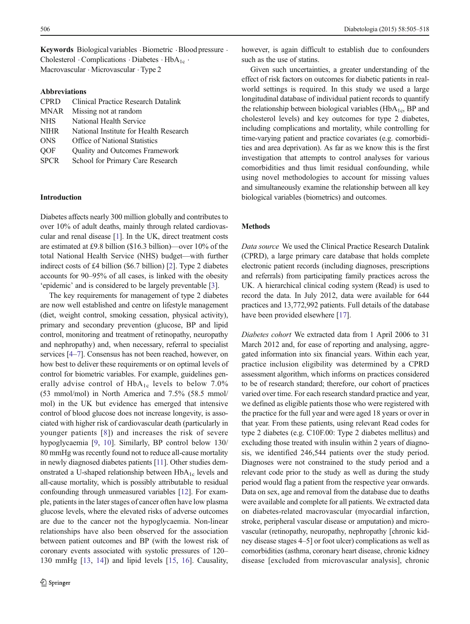Keywords Biological variables .Biometric .Blood pressure . Cholesterol  $\cdot$  Complications  $\cdot$  Diabetes  $\cdot$  HbA<sub>1c</sub>  $\cdot$ Macrovascular . Microvascular . Type 2

#### Abbreviations

| <b>CPRD</b>                           | <b>Clinical Practice Research Datalink</b> |
|---------------------------------------|--------------------------------------------|
| Missing not at random<br><b>MNAR</b>  |                                            |
| <b>NHS</b><br>National Health Service |                                            |
| <b>NIHR</b>                           | National Institute for Health Research     |
| <b>ONS</b>                            | Office of National Statistics              |
| <b>OOF</b>                            | <b>Quality and Outcomes Framework</b>      |
| <b>SPCR</b>                           | School for Primary Care Research           |

#### Introduction

Diabetes affects nearly 300 million globally and contributes to over 10% of adult deaths, mainly through related cardiovascular and renal disease [[1](#page-12-0)]. In the UK, direct treatment costs are estimated at £9.8 billion (\$16.3 billion)—over 10% of the total National Health Service (NHS) budget—with further indirect costs of £4 billion (\$6.7 billion) [\[2](#page-12-0)]. Type 2 diabetes accounts for 90–95% of all cases, is linked with the obesity 'epidemic' and is considered to be largely preventable [[3\]](#page-12-0).

The key requirements for management of type 2 diabetes are now well established and centre on lifestyle management (diet, weight control, smoking cessation, physical activity), primary and secondary prevention (glucose, BP and lipid control, monitoring and treatment of retinopathy, neuropathy and nephropathy) and, when necessary, referral to specialist services [[4](#page-12-0)–[7](#page-12-0)]. Consensus has not been reached, however, on how best to deliver these requirements or on optimal levels of control for biometric variables. For example, guidelines generally advise control of  $HbA_{1c}$  levels to below 7.0% (53 mmol/mol) in North America and 7.5% (58.5 mmol/ mol) in the UK but evidence has emerged that intensive control of blood glucose does not increase longevity, is associated with higher risk of cardiovascular death (particularly in younger patients [[8\]](#page-12-0)) and increases the risk of severe hypoglycaemia [\[9](#page-12-0), [10](#page-12-0)]. Similarly, BP control below 130/ 80 mmHg was recently found not to reduce all-cause mortality in newly diagnosed diabetes patients [\[11\]](#page-12-0). Other studies demonstrated a U-shaped relationship between  $HbA_{1c}$  levels and all-cause mortality, which is possibly attributable to residual confounding through unmeasured variables [\[12\]](#page-12-0). For example, patients in the later stages of cancer often have low plasma glucose levels, where the elevated risks of adverse outcomes are due to the cancer not the hypoglycaemia. Non-linear relationships have also been observed for the association between patient outcomes and BP (with the lowest risk of coronary events associated with systolic pressures of 120– 130 mmHg [\[13](#page-12-0), [14\]](#page-12-0)) and lipid levels [[15](#page-12-0), [16](#page-12-0)]. Causality,

however, is again difficult to establish due to confounders such as the use of statins.

Given such uncertainties, a greater understanding of the effect of risk factors on outcomes for diabetic patients in realworld settings is required. In this study we used a large longitudinal database of individual patient records to quantify the relationship between biological variables ( $HbA<sub>1c</sub>$ , BP and cholesterol levels) and key outcomes for type 2 diabetes, including complications and mortality, while controlling for time-varying patient and practice covariates (e.g. comorbidities and area deprivation). As far as we know this is the first investigation that attempts to control analyses for various comorbidities and thus limit residual confounding, while using novel methodologies to account for missing values and simultaneously examine the relationship between all key biological variables (biometrics) and outcomes.

#### Methods

Data source We used the Clinical Practice Research Datalink (CPRD), a large primary care database that holds complete electronic patient records (including diagnoses, prescriptions and referrals) from participating family practices across the UK. A hierarchical clinical coding system (Read) is used to record the data. In July 2012, data were available for 644 practices and 13,772,992 patients. Full details of the database have been provided elsewhere [[17](#page-12-0)].

Diabetes cohort We extracted data from 1 April 2006 to 31 March 2012 and, for ease of reporting and analysing, aggregated information into six financial years. Within each year, practice inclusion eligibility was determined by a CPRD assessment algorithm, which informs on practices considered to be of research standard; therefore, our cohort of practices varied over time. For each research standard practice and year, we defined as eligible patients those who were registered with the practice for the full year and were aged 18 years or over in that year. From these patients, using relevant Read codes for type 2 diabetes (e.g. C10F.00: Type 2 diabetes mellitus) and excluding those treated with insulin within 2 years of diagnosis, we identified 246,544 patients over the study period. Diagnoses were not constrained to the study period and a relevant code prior to the study as well as during the study period would flag a patient from the respective year onwards. Data on sex, age and removal from the database due to deaths were available and complete for all patients. We extracted data on diabetes-related macrovascular (myocardial infarction, stroke, peripheral vascular disease or amputation) and microvascular (retinopathy, neuropathy, nephropathy [chronic kidney disease stages 4–5] or foot ulcer) complications as well as comorbidities (asthma, coronary heart disease, chronic kidney disease [excluded from microvascular analysis], chronic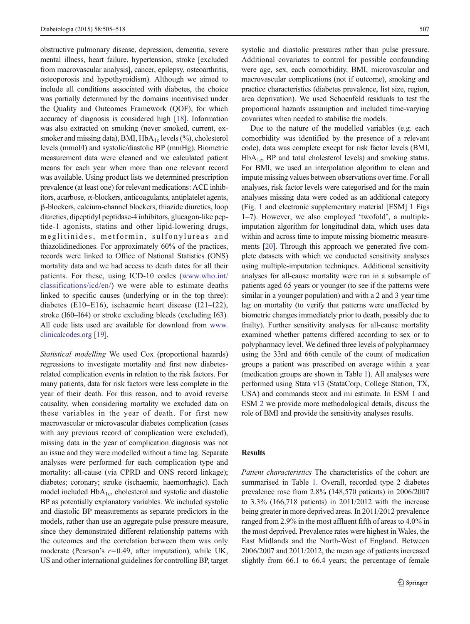obstructive pulmonary disease, depression, dementia, severe mental illness, heart failure, hypertension, stroke [excluded from macrovascular analysis], cancer, epilepsy, osteoarthritis, osteoporosis and hypothyroidism). Although we aimed to include all conditions associated with diabetes, the choice was partially determined by the domains incentivised under the Quality and Outcomes Framework (QOF), for which accuracy of diagnosis is considered high [[18](#page-12-0)]. Information was also extracted on smoking (never smoked, current, exsmoker and missing data), BMI,  $HbA_{1c}$  levels  $(\%)$ , cholesterol levels (mmol/l) and systolic/diastolic BP (mmHg). Biometric measurement data were cleaned and we calculated patient means for each year when more than one relevant record was available. Using product lists we determined prescription prevalence (at least one) for relevant medications: ACE inhibitors, acarbose, α-blockers, anticoagulants, antiplatelet agents, β-blockers, calcium-channel blockers, thiazide diuretics, loop diuretics, dipeptidyl peptidase-4 inhibitors, glucagon-like peptide-1 agonists, statins and other lipid-lowering drugs, meglitinides, metformin, sulfonylureas and thiazolidinediones. For approximately 60% of the practices, records were linked to Office of National Statistics (ONS) mortality data and we had access to death dates for all their patients. For these, using ICD-10 codes ([www.who.int/](http://www.who.int/classifications/icd/en/) [classifications/icd/en/\)](http://www.who.int/classifications/icd/en/) we were able to estimate deaths linked to specific causes (underlying or in the top three): diabetes (E10–E16), ischaemic heart disease (I21–I22), stroke (I60–I64) or stroke excluding bleeds (excluding I63). All code lists used are available for download from [www.](http://www.clinicalcodes.org) [clinicalcodes.org](http://www.clinicalcodes.org) [\[19\]](#page-12-0).

Statistical modelling We used Cox (proportional hazards) regressions to investigate mortality and first new diabetesrelated complication events in relation to the risk factors. For many patients, data for risk factors were less complete in the year of their death. For this reason, and to avoid reverse causality, when considering mortality we excluded data on these variables in the year of death. For first new macrovascular or microvascular diabetes complication (cases with any previous record of complication were excluded), missing data in the year of complication diagnosis was not an issue and they were modelled without a time lag. Separate analyses were performed for each complication type and mortality: all-cause (via CPRD and ONS record linkage); diabetes; coronary; stroke (ischaemic, haemorrhagic). Each model included  $HbA_{1c}$ , cholesterol and systolic and diastolic BP as potentially explanatory variables. We included systolic and diastolic BP measurements as separate predictors in the models, rather than use an aggregate pulse pressure measure, since they demonstrated different relationship patterns with the outcomes and the correlation between them was only moderate (Pearson's  $r=0.49$ , after imputation), while UK, US and other international guidelines for controlling BP, target systolic and diastolic pressures rather than pulse pressure. Additional covariates to control for possible confounding were age, sex, each comorbidity, BMI, microvascular and macrovascular complications (not if outcome), smoking and practice characteristics (diabetes prevalence, list size, region, area deprivation). We used Schoenfeld residuals to test the proportional hazards assumption and included time-varying covariates when needed to stabilise the models.

Due to the nature of the modelled variables (e.g. each comorbidity was identified by the presence of a relevant code), data was complete except for risk factor levels (BMI,  $HbA_{1c}$ , BP and total cholesterol levels) and smoking status. For BMI, we used an interpolation algorithm to clean and impute missing values between observations over time. For all analyses, risk factor levels were categorised and for the main analyses missing data were coded as an additional category (Fig. [1](#page-3-0) and electronic supplementary material [ESM] 1 Figs 1–7). However, we also employed 'twofold', a multipleimputation algorithm for longitudinal data, which uses data within and across time to impute missing biometric measurements [\[20\]](#page-12-0). Through this approach we generated five complete datasets with which we conducted sensitivity analyses using multiple-imputation techniques. Additional sensitivity analyses for all-cause mortality were run in a subsample of patients aged 65 years or younger (to see if the patterns were similar in a younger population) and with a 2 and 3 year time lag on mortality (to verify that patterns were unaffected by biometric changes immediately prior to death, possibly due to frailty). Further sensitivity analyses for all-cause mortality examined whether patterns differed according to sex or to polypharmacy level. We defined three levels of polypharmacy using the 33rd and 66th centile of the count of medication groups a patient was prescribed on average within a year (medication groups are shown in Table [1](#page-4-0)). All analyses were performed using Stata v13 (StataCorp, College Station, TX, USA) and commands stcox and mi estimate. In ESM 1 and ESM 2 we provide more methodological details, discuss the role of BMI and provide the sensitivity analyses results.

#### Results

Patient characteristics The characteristics of the cohort are summarised in Table [1.](#page-4-0) Overall, recorded type 2 diabetes prevalence rose from 2.8% (148,570 patients) in 2006/2007 to 3.3% (166,718 patients) in 2011/2012 with the increase being greater in more deprived areas. In 2011/2012 prevalence ranged from 2.9% in the most affluent fifth of areas to 4.0% in the most deprived. Prevalence rates were highest in Wales, the East Midlands and the North-West of England. Between 2006/2007 and 2011/2012, the mean age of patients increased slightly from 66.1 to 66.4 years; the percentage of female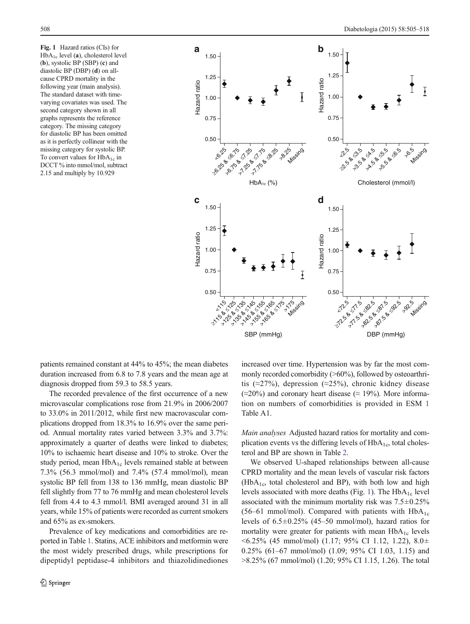<span id="page-3-0"></span>Fig. 1 Hazard ratios (CIs) for  $HbA_{1c}$  level (a), cholesterol level (b), systolic BP (SBP) (c) and diastolic BP (DBP) (d) on allcause CPRD mortality in the following year (main analysis). The standard dataset with timevarying covariates was used. The second category shown in all graphs represents the reference category. The missing category for diastolic BP has been omitted as it is perfectly collinear with the missing category for systolic BP. To convert values for  $HbA_{1c}$  in DCCT % into mmol/mol, subtract 2.15 and multiply by 10.929



patients remained constant at 44% to 45%; the mean diabetes duration increased from 6.8 to 7.8 years and the mean age at diagnosis dropped from 59.3 to 58.5 years.

The recorded prevalence of the first occurrence of a new microvascular complications rose from 21.9% in 2006/2007 to 33.0% in 2011/2012, while first new macrovascular complications dropped from 18.3% to 16.9% over the same period. Annual mortality rates varied between 3.3% and 3.7%: approximately a quarter of deaths were linked to diabetes; 10% to ischaemic heart disease and 10% to stroke. Over the study period, mean  $HbA_{1c}$  levels remained stable at between 7.3% (56.3 mmol/mol) and 7.4% (57.4 mmol/mol), mean systolic BP fell from 138 to 136 mmHg, mean diastolic BP fell slightly from 77 to 76 mmHg and mean cholesterol levels fell from 4.4 to 4.3 mmol/l. BMI averaged around 31 in all years, while 15% of patients were recorded as current smokers and 65% as ex-smokers.

Prevalence of key medications and comorbidities are reported in Table [1.](#page-4-0) Statins, ACE inhibitors and metformin were the most widely prescribed drugs, while prescriptions for dipeptidyl peptidase-4 inhibitors and thiazolidinediones increased over time. Hypertension was by far the most commonly recorded comorbidity (>60%), followed by osteoarthritis (≈27%), depression (≈25%), chronic kidney disease  $(\approx 20\%)$  and coronary heart disease ( $\approx 19\%$ ). More information on numbers of comorbidities is provided in ESM 1 Table A1.

Main analyses Adjusted hazard ratios for mortality and complication events vs the differing levels of  $HbA_{1c}$ , total cholesterol and BP are shown in Table [2](#page-7-0).

We observed U-shaped relationships between all-cause CPRD mortality and the mean levels of vascular risk factors  $(HbA<sub>1c</sub>$ , total cholesterol and BP), with both low and high levels associated with more deaths (Fig. 1). The  $HbA_{1c}$  level associated with the minimum mortality risk was  $7.5\pm0.25\%$ (56–61 mmol/mol). Compared with patients with  $HbA_{1c}$ levels of  $6.5\pm0.25\%$  (45–50 mmol/mol), hazard ratios for mortality were greater for patients with mean  $HbA_{1c}$  levels <6.25% (45 mmol/mol) (1.17; 95% CI 1.12, 1.22), 8.0± 0.25% (61–67 mmol/mol) (1.09; 95% CI 1.03, 1.15) and >8.25% (67 mmol/mol) (1.20; 95% CI 1.15, 1.26). The total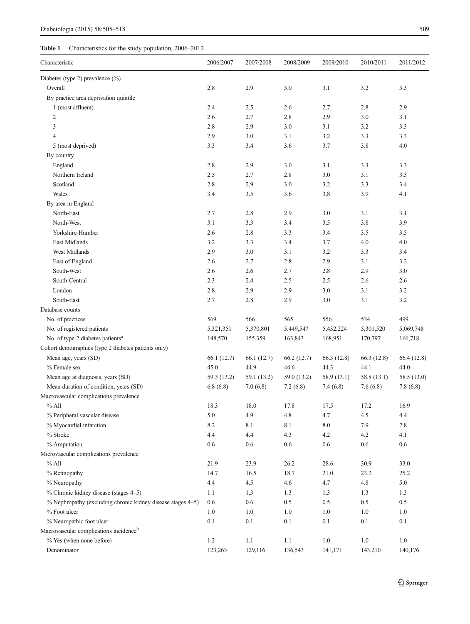## <span id="page-4-0"></span>Table 1 Characteristics for the study population, 2006–2012

| Characteristic                                              | 2006/2007   | 2007/2008   | 2008/2009   | 2009/2010   | 2010/2011   | 2011/2012   |
|-------------------------------------------------------------|-------------|-------------|-------------|-------------|-------------|-------------|
| Diabetes (type 2) prevalence (%)                            |             |             |             |             |             |             |
| Overall                                                     | 2.8         | 2.9         | 3.0         | 3.1         | 3.2         | 3.3         |
| By practice area deprivation quintile                       |             |             |             |             |             |             |
| 1 (most affluent)                                           | 2.4         | 2.5         | 2.6         | 2.7         | 2.8         | 2.9         |
| $\overline{c}$                                              | 2.6         | 2.7         | 2.8         | 2.9         | 3.0         | 3.1         |
| 3                                                           | 2.8         | 2.9         | 3.0         | 3.1         | 3.2         | 3.3         |
| $\overline{4}$                                              | 2.9         | 3.0         | 3.1         | 3.2         | 3.3         | 3.3         |
| 5 (most deprived)                                           | 3.3         | 3.4         | 3.6         | 3.7         | 3.8         | 4.0         |
| By country                                                  |             |             |             |             |             |             |
| England                                                     | 2.8         | 2.9         | 3.0         | 3.1         | 3.3         | 3.3         |
| Northern Ireland                                            | 2.5         | 2.7         | 2.8         | 3.0         | 3.1         | 3.3         |
| Scotland                                                    | 2.8         | 2.9         | 3.0         | 3.2         | 3.3         | 3.4         |
| Wales                                                       | 3.4         | 3.5         | 3.6         | 3.8         | 3.9         | 4.1         |
| By area in England                                          |             |             |             |             |             |             |
| North-East                                                  | 2.7         | 2.8         | 2.9         | 3.0         | 3.1         | 3.1         |
| North-West                                                  | 3.1         | 3.3         | 3.4         | 3.5         | 3.8         | 3.9         |
| Yorkshire-Humber                                            | 2.6         | 2.8         | 3.3         | 3.4         | 3.5         | 3.5         |
| East Midlands                                               | 3.2         | 3.3         | 3.4         | 3.7         | 4.0         | 4.0         |
| West Midlands                                               | 2.9         | 3.0         | 3.1         | 3.2         | 3.3         | 3.4         |
| East of England                                             | 2.6         | 2.7         | 2.8         | 2.9         | 3.1         | 3.2         |
| South-West                                                  | 2.6         | 2.6         | 2.7         | 2.8         | 2.9         | 3.0         |
| South-Central                                               | 2.3         | 2.4         | 2.5         | 2.5         | 2.6         | 2.6         |
| London                                                      | 2.8         | 2.9         | 2.9         | 3.0         | 3.1         | 3.2         |
| South-East                                                  | 2.7         | 2.8         | 2.9         | 3.0         | 3.1         | 3.2         |
| Database counts                                             |             |             |             |             |             |             |
| No. of practices                                            | 569         | 566         | 565         | 556         | 534         | 499         |
| No. of registered patients                                  | 5,321,351   | 5,370,801   | 5,449,547   | 5,432,224   | 5,301,520   | 5,069,748   |
| No. of type 2 diabetes patients <sup>a</sup>                | 148,570     | 155,359     | 163,843     | 168,951     | 170,797     | 166,718     |
| Cohort demographics (type 2 diabetes patients only)         |             |             |             |             |             |             |
| Mean age, years (SD)                                        | 66.1(12.7)  | 66.1(12.7)  | 66.2(12.7)  | 66.3 (12.8) | 66.3 (12.8) | 66.4 (12.8) |
| % Female sex                                                | 45.0        | 44.9        | 44.6        | 44.3        | 44.1        | 44.0        |
| Mean age at diagnosis, years (SD)                           | 59.3 (13.2) | 59.1 (13.2) | 59.0 (13.2) | 58.9 (13.1) | 58.8 (13.1) | 58.5 (13.0) |
| Mean duration of condition, years (SD)                      | 6.8(6.8)    | 7.0(6.8)    | 7.2(6.8)    | 7.4(6.8)    | 7.6(6.8)    | 7.8(6.8)    |
| Macrovascular complications prevalence                      |             |             |             |             |             |             |
| $%$ All                                                     | 18.3        | 18.0        | 17.8        | 17.5        | 17.2        | 16.9        |
| % Peripheral vascular disease                               | $5.0\,$     | 4.9         | $4.8\,$     | 4.7         | 4.5         | 4.4         |
| % Myocardial infarction                                     | 8.2         | 8.1         | 8.1         | $8.0\,$     | 7.9         | 7.8         |
| % Stroke                                                    | 4.4         | 4.4         | 4.3         | 4.2         | 4.2         | 4.1         |
| % Amputation                                                | 0.6         | $0.6\,$     | $0.6\,$     | $0.6\,$     | $0.6\,$     | $0.6\,$     |
| Microvascular complications prevalence                      |             |             |             |             |             |             |
| $%$ All                                                     | 21.9        | 23.9        | 26.2        | 28.6        | 30.9        | 33.0        |
| % Retinopathy                                               | 14.7        | 16.5        | 18.7        | 21.0        | 23.2        | 25.2        |
| % Neuropathy                                                | 4.4         | 4.5         | 4.6         | 4.7         | 4.8         | 5.0         |
| % Chronic kidney disease (stages 4–5)                       | 1.1         | 1.3         | 1.3         | 1.3         | 1.3         | 1.3         |
| % Nephropathy (excluding chronic kidney disease stages 4–5) | 0.6         | 0.6         | 0.5         | 0.5         | 0.5         | 0.5         |
| % Foot ulcer                                                | 1.0         | $1.0\,$     | $1.0\,$     | $1.0\,$     | $1.0\,$     | 1.0         |
| % Neuropathic foot ulcer                                    | 0.1         | 0.1         | 0.1         | 0.1         | $0.1\,$     | 0.1         |
| Macrovascular complications incidence <sup>b</sup>          |             |             |             |             |             |             |
| % Yes (when none before)                                    | $1.2\,$     | $1.1\,$     | $1.1\,$     | $1.0\,$     | $1.0\,$     | $1.0\,$     |
| Denominator                                                 | 123,263     | 129,116     | 136,543     | 141,171     | 143,210     | 140,176     |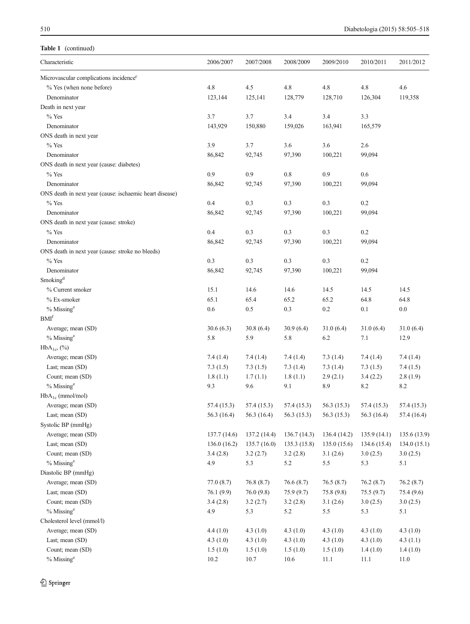## Table 1 (continued)

| Characteristic                                          | 2006/2007    | 2007/2008     | 2008/2009   | 2009/2010   | 2010/2011     | 2011/2012    |
|---------------------------------------------------------|--------------|---------------|-------------|-------------|---------------|--------------|
| Microvascular complications incidence <sup>c</sup>      |              |               |             |             |               |              |
| % Yes (when none before)                                | 4.8          | 4.5           | 4.8         | 4.8         | 4.8           | 4.6          |
| Denominator                                             | 123,144      | 125,141       | 128,779     | 128,710     | 126,304       | 119,358      |
| Death in next year                                      |              |               |             |             |               |              |
| $%$ Yes                                                 | 3.7          | 3.7           | 3.4         | 3.4         | 3.3           |              |
| Denominator                                             | 143,929      | 150,880       | 159,026     | 163,941     | 165,579       |              |
| ONS death in next year                                  |              |               |             |             |               |              |
| $%$ Yes                                                 | 3.9          | 3.7           | 3.6         | 3.6         | 2.6           |              |
| Denominator                                             | 86,842       | 92,745        | 97,390      | 100,221     | 99,094        |              |
| ONS death in next year (cause: diabetes)                |              |               |             |             |               |              |
| $%$ Yes                                                 | 0.9          | 0.9           | $0.8\,$     | 0.9         | 0.6           |              |
| Denominator                                             | 86,842       | 92,745        | 97,390      | 100,221     | 99,094        |              |
| ONS death in next year (cause: ischaemic heart disease) |              |               |             |             |               |              |
| $%$ Yes                                                 | 0.4          | 0.3           | 0.3         | 0.3         | 0.2           |              |
| Denominator                                             | 86,842       | 92,745        | 97,390      | 100,221     | 99,094        |              |
| ONS death in next year (cause: stroke)                  |              |               |             |             |               |              |
| $%$ Yes                                                 | 0.4          | 0.3           | 0.3         | 0.3         | 0.2           |              |
| Denominator                                             | 86,842       | 92,745        | 97,390      | 100,221     | 99,094        |              |
| ONS death in next year (cause: stroke no bleeds)        |              |               |             |             |               |              |
| $%$ Yes                                                 | 0.3          | 0.3           | 0.3         | 0.3         | 0.2           |              |
| Denominator                                             | 86,842       | 92,745        | 97,390      | 100,221     | 99,094        |              |
| Smoking <sup>d</sup>                                    |              |               |             |             |               |              |
| % Current smoker                                        | 15.1         | 14.6          | 14.6        | 14.5        | 14.5          | 14.5         |
| % Ex-smoker                                             | 65.1         | 65.4          | 65.2        | 65.2        | 64.8          | 64.8         |
| $%$ Missing $e$                                         | 0.6          | $0.5\,$       | 0.3         | $0.2\,$     | 0.1           | $0.0\,$      |
| $\mathrm{BMI}^{\mathrm{f}}$                             |              |               |             |             |               |              |
| Average; mean (SD)                                      | 30.6(6.3)    | 30.8(6.4)     | 30.9(6.4)   | 31.0(6.4)   | 31.0(6.4)     | 31.0(6.4)    |
| $%$ Missing $e$                                         | 5.8          | 5.9           | 5.8         | 6.2         | 7.1           | 12.9         |
|                                                         |              |               |             |             |               |              |
| $HbA_{1c}$ , $(\%)$                                     |              |               |             |             |               |              |
| Average; mean (SD)                                      | 7.4(1.4)     | 7.4(1.4)      | 7.4(1.4)    | 7.3(1.4)    | 7.4(1.4)      | 7.4(1.4)     |
| Last; mean (SD)                                         | 7.3(1.5)     | 7.3(1.5)      | 7.3(1.4)    | 7.3(1.4)    | 7.3(1.5)      | 7.4(1.5)     |
| Count; mean (SD)                                        | 1.8(1.1)     | 1.7(1.1)      | 1.8(1.1)    | 2.9(2.1)    | 3.4(2.2)      | 2.8(1.9)     |
| $%$ Missing $e$                                         | 9.3          | 9.6           | 9.1         | 8.9         | 8.2           | 8.2          |
| $HbA_{1c}$ (mmol/mol)                                   |              |               |             |             |               |              |
| Average; mean (SD)                                      | 57.4 (15.3)  | 57.4 (15.3)   | 57.4 (15.3) | 56.3 (15.3) | 57.4 (15.3)   | 57.4 (15.3)  |
| Last; mean (SD)                                         | 56.3 (16.4)  | 56.3 $(16.4)$ | 56.3(15.3)  | 56.3 (15.3) | 56.3 $(16.4)$ | 57.4 (16.4)  |
| Systolic BP (mmHg)                                      |              |               |             |             |               |              |
| Average; mean (SD)                                      | 137.7 (14.6) | 137.2(14.4)   | 136.7(14.3) | 136.4(14.2) | 135.9(14.1)   | 135.6 (13.9) |
| Last; mean (SD)                                         | 136.0(16.2)  | 135.7(16.0)   | 135.3(15.8) | 135.0(15.6) | 134.6(15.4)   | 134.0(15.1)  |
| Count; mean (SD)                                        | 3.4(2.8)     | 3.2(2.7)      | 3.2(2.8)    | 3.1(2.6)    | 3.0(2.5)      | 3.0(2.5)     |
| $%$ Missing $^e$                                        | 4.9          | 5.3           | 5.2         | 5.5         | 5.3           | 5.1          |
| Diastolic BP (mmHg)                                     |              |               |             |             |               |              |
| Average; mean (SD)                                      | 77.0(8.7)    | 76.8(8.7)     | 76.6(8.7)   | 76.5(8.7)   | 76.2(8.7)     | 76.2(8.7)    |
| Last; mean (SD)                                         | 76.1(9.9)    | 76.0(9.8)     | 75.9(9.7)   | 75.8 (9.8)  | 75.5(9.7)     | 75.4 (9.6)   |
| Count; mean (SD)                                        | 3.4(2.8)     | 3.2(2.7)      | 3.2(2.8)    | 3.1(2.6)    | 3.0(2.5)      | 3.0(2.5)     |
| $%$ Missing $e$                                         | 4.9          | 5.3           | 5.2         | 5.5         | 5.3           | 5.1          |
| Cholesterol level (mmol/l)                              |              |               |             |             |               |              |
| Average; mean (SD)                                      | 4.4(1.0)     | 4.3(1.0)      | 4.3(1.0)    | 4.3(1.0)    | 4.3(1.0)      | 4.3(1.0)     |
| Last; mean (SD)                                         | 4.3(1.0)     | 4.3(1.0)      | 4.3(1.0)    | 4.3(1.0)    | 4.3(1.0)      | 4.3(1.1)     |
| Count; mean (SD)                                        | 1.5(1.0)     | 1.5(1.0)      | 1.5(1.0)    | 1.5(1.0)    | 1.4(1.0)      | 1.4(1.0)     |
| $%$ Missing $e$                                         | 10.2         | 10.7          | 10.6        | 11.1        | 11.1          | 11.0         |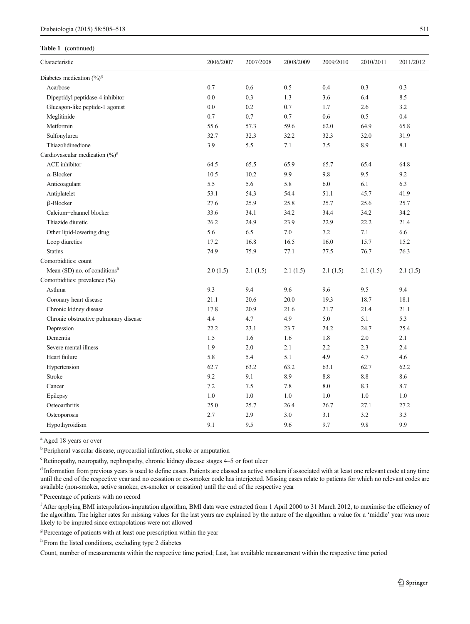## Table 1 (continued)

 $\overline{a}$ 

| Characteristic                             | 2006/2007 | 2007/2008 | 2008/2009 | 2009/2010 | 2010/2011 | 2011/2012 |
|--------------------------------------------|-----------|-----------|-----------|-----------|-----------|-----------|
| Diabetes medication $(\%)^g$               |           |           |           |           |           |           |
| Acarbose                                   | 0.7       | 0.6       | 0.5       | 0.4       | 0.3       | 0.3       |
| Dipeptidyl peptidase-4 inhibitor           | 0.0       | 0.3       | 1.3       | 3.6       | 6.4       | 8.5       |
| Glucagon-like peptide-1 agonist            | 0.0       | 0.2       | 0.7       | 1.7       | 2.6       | 3.2       |
| Meglitinide                                | 0.7       | 0.7       | 0.7       | 0.6       | 0.5       | 0.4       |
| Metformin                                  | 55.6      | 57.3      | 59.6      | 62.0      | 64.9      | 65.8      |
| Sulfonylurea                               | 32.7      | 32.3      | 32.2      | 32.3      | 32.0      | 31.9      |
| Thiazolidinedione                          | 3.9       | 5.5       | 7.1       | 7.5       | 8.9       | 8.1       |
| Cardiovascular medication (%) <sup>g</sup> |           |           |           |           |           |           |
| ACE inhibitor                              | 64.5      | 65.5      | 65.9      | 65.7      | 65.4      | 64.8      |
| $\alpha$ -Blocker                          | 10.5      | 10.2      | 9.9       | 9.8       | 9.5       | 9.2       |
| Anticoagulant                              | 5.5       | 5.6       | 5.8       | 6.0       | 6.1       | 6.3       |
| Antiplatelet                               | 53.1      | 54.3      | 54.4      | 51.1      | 45.7      | 41.9      |
| $\beta$ -Blocker                           | 27.6      | 25.9      | 25.8      | 25.7      | 25.6      | 25.7      |
| Calcium-channel blocker                    | 33.6      | 34.1      | 34.2      | 34.4      | 34.2      | 34.2      |
| Thiazide diuretic                          | 26.2      | 24.9      | 23.9      | 22.9      | 22.2      | 21.4      |
| Other lipid-lowering drug                  | 5.6       | 6.5       | 7.0       | 7.2       | 7.1       | 6.6       |
| Loop diuretics                             | 17.2      | 16.8      | 16.5      | 16.0      | 15.7      | 15.2      |
| <b>Statins</b>                             | 74.9      | 75.9      | 77.1      | 77.5      | 76.7      | 76.3      |
| Comorbidities: count                       |           |           |           |           |           |           |
| Mean (SD) no. of conditionsh               | 2.0(1.5)  | 2.1(1.5)  | 2.1(1.5)  | 2.1(1.5)  | 2.1(1.5)  | 2.1(1.5)  |
| Comorbidities: prevalence (%)              |           |           |           |           |           |           |
| Asthma                                     | 9.3       | 9.4       | 9.6       | 9.6       | 9.5       | 9.4       |
| Coronary heart disease                     | 21.1      | 20.6      | 20.0      | 19.3      | 18.7      | 18.1      |
| Chronic kidney disease                     | 17.8      | 20.9      | 21.6      | 21.7      | 21.4      | 21.1      |
| Chronic obstructive pulmonary disease      | 4.4       | 4.7       | 4.9       | 5.0       | 5.1       | 5.3       |
| Depression                                 | 22.2      | 23.1      | 23.7      | 24.2      | 24.7      | 25.4      |
| Dementia                                   | $1.5\,$   | 1.6       | 1.6       | 1.8       | $2.0\,$   | 2.1       |
| Severe mental illness                      | 1.9       | 2.0       | 2.1       | 2.2       | 2.3       | 2.4       |
| Heart failure                              | 5.8       | 5.4       | 5.1       | 4.9       | 4.7       | 4.6       |
| Hypertension                               | 62.7      | 63.2      | 63.2      | 63.1      | 62.7      | 62.2      |
| Stroke                                     | 9.2       | 9.1       | 8.9       | $8.8\,$   | 8.8       | 8.6       |
| Cancer                                     | 7.2       | 7.5       | 7.8       | $8.0\,$   | 8.3       | 8.7       |
| Epilepsy                                   | 1.0       | 1.0       | 1.0       | 1.0       | 1.0       | 1.0       |
| Osteoarthritis                             | 25.0      | 25.7      | 26.4      | 26.7      | 27.1      | 27.2      |
| Osteoporosis                               | 2.7       | 2.9       | 3.0       | 3.1       | 3.2       | 3.3       |

<sup>a</sup> Aged 18 years or over

<sup>b</sup> Peripheral vascular disease, myocardial infarction, stroke or amputation

<sup>c</sup> Retinopathy, neuropathy, nephropathy, chronic kidney disease stages 4-5 or foot ulcer

<sup>d</sup> Information from previous years is used to define cases. Patients are classed as active smokers if associated with at least one relevant code at any time until the end of the respective year and no cessation or ex-smoker code has interjected. Missing cases relate to patients for which no relevant codes are available (non-smoker, active smoker, ex-smoker or cessation) until the end of the respective year

Hypothyroidism 9.1 9.5 9.6 9.7 9.8 9.9

e Percentage of patients with no record

<sup>f</sup> After applying BMI interpolation-imputation algorithm, BMI data were extracted from 1 April 2000 to 31 March 2012, to maximise the efficiency of the algorithm. The higher rates for missing values for the last years are explained by the nature of the algorithm: a value for a 'middle' year was more likely to be imputed since extrapolations were not allowed

<sup>g</sup> Percentage of patients with at least one prescription within the year

<sup>h</sup> From the listed conditions, excluding type 2 diabetes

Count, number of measurements within the respective time period; Last, last available measurement within the respective time period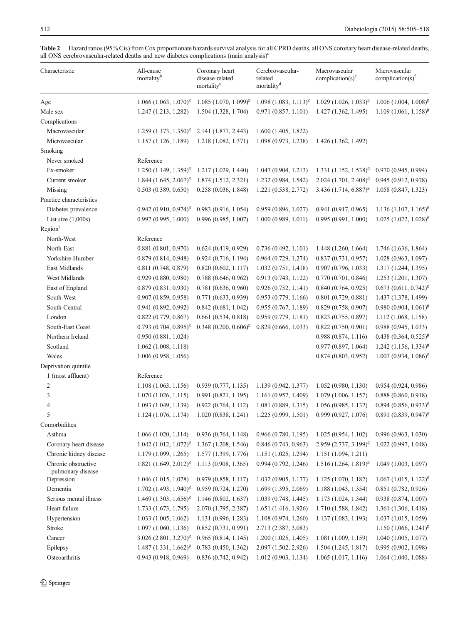| Characteristic                           | All-cause<br>mortality <sup>b</sup> | Coronary heart<br>disease-related<br>mortality <sup>c</sup> | Cerebrovascular-<br>related<br>mortality <sup>d</sup> | Macrovascular<br>complication(s) $^e$ | Microvascular<br>complication(s) <sup><math>t</math></sup> |
|------------------------------------------|-------------------------------------|-------------------------------------------------------------|-------------------------------------------------------|---------------------------------------|------------------------------------------------------------|
| Age                                      | $1.066$ $(1.063, 1.070)^{g}$        | $1.085(1.070, 1.099)^{g}$                                   | $1.098(1.083, 1.113)^{g}$                             | $1.029$ $(1.026, 1.033)^{g}$          | $1.006(1.004, 1.008)^g$                                    |
| Male sex                                 | 1.247 (1.213, 1.282)                | 1.504 (1.328, 1.704)                                        | 0.971(0.857, 1.101)                                   | 1.427 (1.362, 1.495)                  | $1.109(1.061, 1.158)^{g}$                                  |
| Complications                            |                                     |                                                             |                                                       |                                       |                                                            |
| Macrovascular                            | $1.259$ $(1.173, 1.350)^{g}$        | 2.141 (1.877, 2.443)                                        | 1.600(1.405, 1.822)                                   |                                       |                                                            |
| Microvascular                            | 1.157 (1.126, 1.189)                | 1.218 (1.082, 1.371)                                        | 1.098 (0.973, 1.238)                                  | 1.426 (1.362, 1.492)                  |                                                            |
| Smoking                                  |                                     |                                                             |                                                       |                                       |                                                            |
| Never smoked                             | Reference                           |                                                             |                                                       |                                       |                                                            |
| Ex-smoker                                | $1.250$ $(1.149, 1.359)^{g}$        | 1.217 (1.029, 1.440)                                        | 1.047(0.904, 1.213)                                   | $1.331 (1.152, 1.538)^g$              | 0.970(0.945, 0.994)                                        |
| Current smoker                           | $1.844$ $(1.645, 2.067)^{g}$        | 1.874 (1.512, 2.321)                                        | 1.232 (0.984, 1.542)                                  | $2.024$ (1.701, 2.408) <sup>g</sup>   | 0.945 (0.912, 0.978)                                       |
| Missing                                  | 0.503(0.389, 0.650)                 | 0.258(0.036, 1.848)                                         | 1.221 (0.538, 2.772)                                  | 3.436 (1.714, 6.887) <sup>g</sup>     | 1.058 (0.847, 1.323)                                       |
| Practice characteristics                 |                                     |                                                             |                                                       |                                       |                                                            |
| Diabetes prevalence                      | $0.942(0.910, 0.974)^{g}$           | 0.983(0.916, 1.054)                                         | 0.959 (0.896, 1.027)                                  | 0.941(0.917, 0.965)                   | $1.136(1.107, 1.165)^{g}$                                  |
| List size $(1,000s)$                     | 0.997(0.995, 1.000)                 | 0.996 (0.985, 1.007)                                        | 1.000(0.989, 1.011)                                   | 0.995(0.991, 1.000)                   | $1.025$ $(1.022, 1.028)^{g}$                               |
| Region <sup>i</sup>                      |                                     |                                                             |                                                       |                                       |                                                            |
| North-West                               | Reference                           |                                                             |                                                       |                                       |                                                            |
| North-East                               | 0.881(0.801, 0.970)                 | 0.624(0.419, 0.929)                                         | 0.736(0.492, 1.101)                                   | 1.448(1.260, 1.664)                   | 1.746 (1.636, 1.864)                                       |
| Yorkshire-Humber                         | 0.879 (0.814, 0.948)                | 0.924(0.716, 1.194)                                         | 0.964(0.729, 1.274)                                   | 0.837(0.731, 0.957)                   | 1.028 (0.963, 1.097)                                       |
| East Midlands                            | 0.811 (0.748, 0.879)                | 0.820(0.602, 1.117)                                         | 1.032(0.751, 1.418)                                   | 0.907(0.796, 1.033)                   | 1.317 (1.244, 1.395)                                       |
| West Midlands                            | 0.929(0.880, 0.980)                 | 0.788(0.646, 0.962)                                         | 0.913 (0.743, 1.122)                                  | 0.770(0.701, 0.846)                   | 1.253 (1.201, 1.307)                                       |
| East of England                          | 0.879(0.831, 0.930)                 | 0.781(0.636, 0.960)                                         | 0.926(0.752, 1.141)                                   | 0.840(0.764, 0.925)                   | $0.673$ $(0.611, 0.742)^{g}$                               |
| South-West                               | 0.907(0.859, 0.958)                 | 0.771 (0.633, 0.939)                                        | 0.953 (0.779, 1.166)                                  | 0.801(0.729, 0.881)                   | 1.437 (1.378, 1.499)                                       |
| South-Central                            | 0.941 (0.892, 0.992)                | 0.842(0.681, 1.042)                                         | 0.955(0.767, 1.189)                                   | 0.829(0.758, 0.907)                   | $0.980(0.904, 1.061)^g$                                    |
| London                                   | 0.822(0.779, 0.867)                 | 0.661(0.534, 0.818)                                         | 0.959(0.779, 1.181)                                   | 0.823(0.755, 0.897)                   | 1.112 (1.068, 1.158)                                       |
| South-East Coast                         | $0.793$ $(0.704, 0.895)^{g}$        | $0.348$ $(0.200, 0.606)^{g}$                                | 0.829(0.666, 1.033)                                   | 0.822(0.750, 0.901)                   | 0.988(0.945, 1.033)                                        |
| Northern Ireland                         | 0.950 (0.881, 1.024)                |                                                             |                                                       | 0.988 (0.874, 1.116)                  | $0.438(0.364, 0.525)^{g}$                                  |
| Scotland                                 | 1.062(1.008, 1.118)                 |                                                             |                                                       | 0.977(0.897, 1.064)                   | $1.242$ (1.156, 1.334) <sup>g</sup>                        |
| Wales                                    | 1.006(0.958, 1.056)                 |                                                             |                                                       | 0.874(0.803, 0.952)                   | $1.007(0.934, 1.086)^{g}$                                  |
| Deprivation quintile                     |                                     |                                                             |                                                       |                                       |                                                            |
| 1 (most affluent)                        | Reference                           |                                                             |                                                       |                                       |                                                            |
| 2                                        | 1.108(1.063, 1.156)                 | 0.939(0.777, 1.135)                                         | 1.139 (0.942, 1.377)                                  | 1.052(0.980, 1.130)                   | 0.954(0.924, 0.986)                                        |
| 3                                        | 1.070(1.026, 1.115)                 | 0.991(0.821, 1.195)                                         | 1.161 (0.957, 1.409)                                  | 1.079(1.006, 1.157)                   | 0.888(0.860, 0.918)                                        |
| 4                                        | 1.093 (1.049, 1.139)                | 0.922(0.764, 1.112)                                         | 1.081 (0.889, 1.315)                                  | 1.056 (0.985, 1.132)                  | $0.894$ $(0.856, 0.933)^{g}$                               |
|                                          | 1.124(1.076, 1.174)                 | 1.020(0.838, 1.241)                                         | 1.225(0.999, 1.501)                                   | 0.999(0.927, 1.076)                   | $0.891(0.839, 0.947)^{g}$                                  |
| Comorbidities                            |                                     |                                                             |                                                       |                                       |                                                            |
| Asthma                                   | 1.066(1.020, 1.114)                 | 0.936(0.764, 1.148)                                         | 0.966(0.780, 1.195)                                   | 1.025(0.954, 1.102)                   | 0.996(0.963, 1.030)                                        |
| Coronary heart disease                   | $1.042$ $(1.012, 1.072)^{g}$        | 1.367 (1.208, 1.546)                                        | 0.846(0.743, 0.963)                                   | 2.959 (2.737, 3.199) <sup>g</sup>     | 1.022(0.997, 1.048)                                        |
| Chronic kidney disease                   | 1.179 (1.099, 1.265)                | 1.577 (1.399, 1.776)                                        | 1.151 (1.025, 1.294)                                  | 1.151 (1.094, 1.211)                  |                                                            |
| Chronic obstructive<br>pulmonary disease | $1.821$ $(1.649, 2.012)^{g}$        | 1.113(0.908, 1.365)                                         | 0.994(0.792, 1.246)                                   | $1.516 (1.264, 1.819)^g$              | 1.049 (1.003, 1.097)                                       |
| Depression                               | 1.046 (1.015, 1.078)                | 0.979(0.858, 1.117)                                         | 1.032(0.905, 1.177)                                   | 1.125 (1.070, 1.182)                  | $1.067(1.015, 1.122)^{g}$                                  |
| Dementia                                 | $1.702$ (1.493, 1.940) <sup>g</sup> | 0.959(0.724, 1.270)                                         | 1.699 (1.395, 2.069)                                  | 1.188 (1.043, 1.354)                  | 0.851(0.782, 0.926)                                        |
| Serious mental illness                   | $1.469$ $(1.303, 1.656)^{g}$        | 1.146(0.802, 1.637)                                         | 1.039 (0.748, 1.445)                                  | 1.173 (1.024, 1.344)                  | 0.938(0.874, 1.007)                                        |
| Heart failure                            | 1.733 (1.673, 1.795)                | 2.070 (1.795, 2.387)                                        | 1.651 (1.416, 1.926)                                  | 1.710 (1.588, 1.842)                  | 1.361 (1.306, 1.418)                                       |
| Hypertension                             | 1.033(1.005, 1.062)                 | 1.131 (0.996, 1.283)                                        | 1.108 (0.974, 1.260)                                  | 1.137 (1.083, 1.193)                  | 1.037(1.015, 1.059)                                        |
| Stroke                                   | 1.097(1.060, 1.136)                 | 0.852(0.731, 0.991)                                         | 2.713 (2.387, 3.083)                                  |                                       | $1.150(1.066, 1.241)^g$                                    |
| Cancer                                   | 3.026 $(2.801, 3.270)^{g}$          | 0.965(0.814, 1.145)                                         | 1.200(1.025, 1.405)                                   | 1.081 (1.009, 1.159)                  | 1.040(1.005, 1.077)                                        |
| Epilepsy                                 | $1.487$ $(1.331, 1.662)^{g}$        | 0.783(0.450, 1.362)                                         | 2.097 (1.502, 2.926)                                  | 1.504 (1.245, 1.817)                  | 0.995 (0.902, 1.098)                                       |
| Osteoarthritis                           | 0.943 (0.918, 0.969)                | 0.836(0.742, 0.942)                                         | 1.012 (0.903, 1.134)                                  | 1.065(1.017, 1.116)                   | 1.064(1.040, 1.088)                                        |

<span id="page-7-0"></span>Table 2 Hazard ratios (95% Cis) from Cox proportionate hazards survival analysis for all CPRD deaths, all ONS coronary heart disease-related deaths, all ONS cerebrovascular-related deaths and new diabetes complications (main analysis)<sup>a</sup>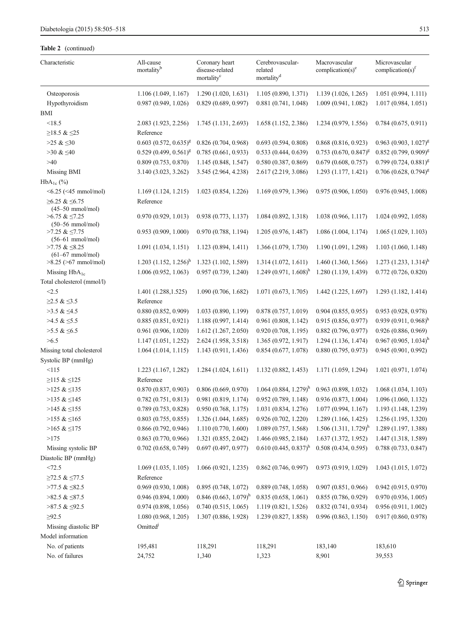## Table 2 (continued)

| Characteristic                                      | All-cause<br>mortality <sup>b</sup> | Coronary heart<br>disease-related<br>mortality <sup>c</sup> | Cerebrovascular-<br>related<br>mortality <sup>d</sup> | Macrovascular<br>complication(s) $^e$ | Microvascular<br>complication(s) $f$ |  |
|-----------------------------------------------------|-------------------------------------|-------------------------------------------------------------|-------------------------------------------------------|---------------------------------------|--------------------------------------|--|
| Osteoporosis                                        | 1.106 (1.049, 1.167)                | 1.290 (1.020, 1.631)                                        | 1.105 (0.890, 1.371)                                  | 1.139(1.026, 1.265)                   | 1.051(0.994, 1.111)                  |  |
| Hypothyroidism                                      | 0.987(0.949, 1.026)                 | 0.829(0.689, 0.997)                                         | 0.881(0.741, 1.048)                                   | 1.009(0.941, 1.082)                   | 1.017(0.984, 1.051)                  |  |
| BMI                                                 |                                     |                                                             |                                                       |                                       |                                      |  |
| <18.5                                               | 2.083 (1.923, 2.256)                | 1.745(1.131, 2.693)                                         | 1.658 (1.152, 2.386)                                  | 1.234 (0.979, 1.556)                  | 0.784(0.675, 0.911)                  |  |
| $≥18.5 &$ ≤25                                       | Reference                           |                                                             |                                                       |                                       |                                      |  |
| $>25 \& 50$                                         | $0.603$ $(0.572, 0.635)^{g}$        | 0.826(0.704, 0.968)                                         | 0.693(0.594, 0.808)                                   | 0.868(0.816, 0.923)                   | $0.963$ $(0.903, 1.027)^{g}$         |  |
| $>30 \& 540$                                        | $0.529(0.499, 0.561)^g$             | 0.785(0.661, 0.933)                                         | 0.533(0.444, 0.639)                                   | $0.753$ $(0.670, 0.847)^{g}$          | $0.852(0.799, 0.909)^g$              |  |
| >40                                                 | 0.809(0.753, 0.870)                 | 1.145 (0.848, 1.547)                                        | 0.580(0.387, 0.869)                                   | 0.679(0.608, 0.757)                   | $0.799(0.724, 0.881)^g$              |  |
| Missing BMI                                         | 3.140 (3.023, 3.262)                | 3.545 (2.964, 4.238)                                        | 2.617 (2.219, 3.086)                                  | 1.293 (1.177, 1.421)                  | $0.706$ $(0.628, 0.794)^{g}$         |  |
| $HbA_{1c}$ (%)                                      |                                     |                                                             |                                                       |                                       |                                      |  |
| $\leq 6.25$ ( $\leq 45$ mmol/mol)                   | 1.169(1.124, 1.215)                 | 1.023(0.854, 1.226)                                         | 1.169 (0.979, 1.396)                                  | 0.975(0.906, 1.050)                   | 0.976(0.945, 1.008)                  |  |
| $≥6.25$ & $≤6.75$<br>$(45-50$ mmol/mol)             | Reference                           |                                                             |                                                       |                                       |                                      |  |
| $>6.75$ & $\leq$ 7.25<br>$(50-56 \text{ mmol/mol})$ | 0.970(0.929, 1.013)                 | 0.938(0.773, 1.137)                                         | 1.084 (0.892, 1.318)                                  | 1.038 (0.966, 1.117)                  | 1.024(0.992, 1.058)                  |  |
| $>7.25$ & $\leq$ 7.75<br>$(56-61 \text{ mmol/mol})$ | 0.953(0.909, 1.000)                 | 0.970(0.788, 1.194)                                         | 1.205 (0.976, 1.487)                                  | 1.086(1.004, 1.174)                   | 1.065(1.029, 1.103)                  |  |
| $>7.75$ & $\leq 8.25$<br>$(61-67 \text{ mmol/mol})$ | 1.091(1.034, 1.151)                 | 1.123 (0.894, 1.411)                                        | 1.366 (1.079, 1.730)                                  | 1.190 (1.091, 1.298)                  | 1.103(1.060, 1.148)                  |  |
| $>8.25$ ( $>67$ mmol/mol)                           | 1.203 $(1.152, 1.256)^{h}$          | 1.323 (1.102, 1.589)                                        | 1.314 (1.072, 1.611)                                  | 1.460 (1.360, 1.566)                  | 1.273 $(1.233, 1.314)^h$             |  |
| Missing $HbA_{1c}$                                  | 1.006(0.952, 1.063)                 | 0.957(0.739, 1.240)                                         | $1.249(0.971, 1.608)^h$                               | 1.280 (1.139, 1.439)                  | 0.772(0.726, 0.820)                  |  |
| Total cholesterol (mmol/l)                          |                                     |                                                             |                                                       |                                       |                                      |  |
| < 2.5                                               | 1.401 (1.288, 1.525)                | 1.090(0.706, 1.682)                                         | 1.071(0.673, 1.705)                                   | 1.442(1.225, 1.697)                   | 1.293 (1.182, 1.414)                 |  |
| $≥2.5$ & ≤3.5                                       | Reference                           |                                                             |                                                       |                                       |                                      |  |
| $>3.5 \& \leq 4.5$                                  | 0.880(0.852, 0.909)                 | 1.033 (0.890, 1.199)                                        | 0.878(0.757, 1.019)                                   | 0.904(0.855, 0.955)                   | 0.953 (0.928, 0.978)                 |  |
| $>4.5 \& \leq 5.5$                                  | 0.885(0.851, 0.921)                 | 1.188 (0.997, 1.414)                                        | 0.961(0.808, 1.142)                                   | 0.915 (0.856, 0.977)                  | $0.939(0.911, 0.968)^h$              |  |
| $>5.5$ & $\leq 6.5$                                 | 0.961(0.906, 1.020)                 | 1.612 (1.267, 2.050)                                        | 0.920(0.708, 1.195)                                   | 0.882(0.796, 0.977)                   | 0.926 (0.886, 0.969)                 |  |
| >6.5                                                | 1.147(1.051, 1.252)                 | 2.624 (1.958, 3.518)                                        | 1.365 (0.972, 1.917)                                  | 1.294 (1.136, 1.474)                  | $0.967(0.905, 1.034)^h$              |  |
| Missing total cholesterol                           | 1.064(1.014, 1.115)                 | 1.143 (0.911, 1.436)                                        | 0.854(0.677, 1.078)                                   | 0.880(0.795, 0.973)                   | 0.945(0.901, 0.992)                  |  |
| Systolic BP (mmHg)                                  |                                     |                                                             |                                                       |                                       |                                      |  |
| <115                                                | 1.223 (1.167, 1.282)                | 1.284(1.024, 1.611)                                         | 1.132 (0.882, 1.453)                                  | 1.171 (1.059, 1.294)                  | 1.021 (0.971, 1.074)                 |  |
| ≥115 & ≤125                                         | Reference                           |                                                             |                                                       |                                       |                                      |  |
| $>125 \& 135$                                       | 0.870(0.837, 0.903)                 | 0.806(0.669, 0.970)                                         | $1.064(0.884, 1.279)^h$                               | 0.963(0.898, 1.032)                   | 1.068(1.034, 1.103)                  |  |
| >135 & $\leq$ 145                                   | 0.782(0.751, 0.813)                 | 0.981 (0.819, 1.174)<br>0.950(0.768, 1.175)                 | 0.952(0.789, 1.148)                                   | 0.936(0.873, 1.004)                   | 1.096(1.060, 1.132)                  |  |
| $>145 \& \leq 155$                                  | 0.789(0.753, 0.828)                 |                                                             | 1.031 (0.834, 1.276)                                  | 1.077(0.994, 1.167)                   | 1.193 (1.148, 1.239)                 |  |
| $>155 \& \leq 165$                                  | 0.803(0.755, 0.855)                 | 1.326 (1.044, 1.685)                                        | 0.926(0.702, 1.220)                                   | 1.289(1.166, 1.425)                   | 1.256 (1.195, 1.320)                 |  |
| $>165 \& \leq 175$                                  | 0.866(0.792, 0.946)                 | 1.110 (0.770, 1.600)                                        | 1.089 (0.757, 1.568)                                  | $1.506(1.311, 1.729)^{h}$             | 1.289 (1.197, 1.388)                 |  |
| >175                                                | $0.863$ $(0.770, 0.966)$            | 1.321 (0.855, 2.042)                                        | 1.466 (0.985, 2.184)                                  | 1.637 (1.372, 1.952)                  | 1.447 (1.318, 1.589)                 |  |
| Missing systolic BP                                 | $0.702$ $(0.658, 0.749)$            | 0.697(0.497, 0.977)                                         | $0.610 (0.445, 0.837)^h$                              | 0.508(0.434, 0.595)                   | 0.788 (0.733, 0.847)                 |  |
| Diastolic BP (mmHg)                                 |                                     |                                                             |                                                       |                                       |                                      |  |
| <72.5                                               | 1.069(1.035, 1.105)                 | 1.066(0.921, 1.235)                                         | 0.862(0.746, 0.997)                                   | 0.973 (0.919, 1.029)                  | 1.043 (1.015, 1.072)                 |  |
| $≥72.5$ & $≤77.5$                                   | Reference                           |                                                             |                                                       |                                       |                                      |  |
| $>77.5$ & $\leq$ 82.5                               | 0.969(0.930, 1.008)                 | 0.895(0.748, 1.072)                                         | 0.889(0.748, 1.058)                                   | 0.907(0.851, 0.966)                   | 0.942(0.915, 0.970)                  |  |
| $>82.5 \& \leq 87.5$                                | 0.946(0.894, 1.000)                 | $0.846$ (0.663, 1.079) <sup>h</sup>                         | 0.835(0.658, 1.061)                                   | 0.855(0.786, 0.929)                   | 0.970(0.936, 1.005)                  |  |
| $>87.5$ & $\leq$ 92.5                               | 0.974(0.898, 1.056)                 | 0.740(0.515, 1.065)                                         | 1.119 (0.821, 1.526)                                  | 0.832(0.741, 0.934)                   | 0.956(0.911, 1.002)                  |  |
| $\geq 92.5$                                         | 1.080 (0.968, 1.205)                | 1.307 (0.886, 1.928)                                        | 1.239 (0.827, 1.858)                                  | 0.996(0.863, 1.150)                   | 0.917(0.860, 0.978)                  |  |
| Missing diastolic BP<br>Model information           | Omitted <sup>j</sup>                |                                                             |                                                       |                                       |                                      |  |
| No. of patients                                     | 195,481                             | 118,291                                                     | 118,291                                               | 183,140                               | 183,610                              |  |
| No. of failures                                     | 24,752                              | 1,340                                                       | 1,323                                                 | 8,901                                 | 39,553                               |  |
|                                                     |                                     |                                                             |                                                       |                                       |                                      |  |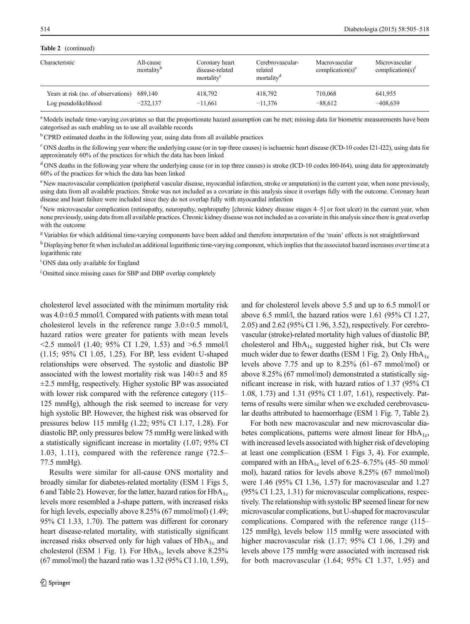#### Table 2 (continued)

| Characteristic                      | All-cause<br>mortality <sup>b</sup> | Coronary heart<br>disease-related<br>mortality <sup>c</sup> | Cerebrovascular-<br>related<br>mortality <sup>d</sup> | Macrovascular<br>complication(s) $^e$ | Microvascular<br>complication(s) <sup><math>1</math></sup> |
|-------------------------------------|-------------------------------------|-------------------------------------------------------------|-------------------------------------------------------|---------------------------------------|------------------------------------------------------------|
| Years at risk (no. of observations) | 689.140                             | 418.792                                                     | 418.792                                               | 710,068                               | 641,955                                                    |
| Log pseudolikelihood                | $-232.137$                          | $-11,661$                                                   | $-11,376$                                             | $-88,612$                             | $-408,639$                                                 |

<sup>a</sup> Models include time-varying covariates so that the proportionate hazard assumption can be met; missing data for biometric measurements have been categorised as such enabling us to use all available records

<sup>b</sup> CPRD estimated deaths in the following year, using data from all available practices

<sup>c</sup> ONS deaths in the following year where the underlying cause (or in top three causes) is ischaemic heart disease (ICD-10 codes I21-I22), using data for approximately 60% of the practices for which the data has been linked

<sup>d</sup> ONS deaths in the following year where the underlying cause (or in top three causes) is stroke (ICD-10 codes I60-I64), using data for approximately 60% of the practices for which the data has been linked

<sup>e</sup> New macrovascular complication (peripheral vascular disease, myocardial infarction, stroke or amputation) in the current year, when none previously, using data from all available practices. Stroke was not included as a covariate in this analysis since it overlaps fully with the outcome. Coronary heart disease and heart failure were included since they do not overlap fully with myocardial infarction

<sup>f</sup> New microvascular complication (retinopathy, neuropathy, nephropathy [chronic kidney disease stages 4–5] or foot ulcer) in the current year, when none previously, using data from all available practices. Chronic kidney disease was not included as a covariate in this analysis since there is great overlap with the outcome

<sup>g</sup> Variables for which additional time-varying components have been added and therefore interpretation of the 'main' effects is not straightforward

h Displaying better fit when included an additional logarithmic time-varying component, which implies that the associated hazard increases over time at a logarithmic rate

<sup>i</sup> ONS data only available for England

<sup>j</sup> Omitted since missing cases for SBP and DBP overlap completely

cholesterol level associated with the minimum mortality risk was  $4.0\pm0.5$  mmol/l. Compared with patients with mean total cholesterol levels in the reference range  $3.0 \pm 0.5$  mmol/l, hazard ratios were greater for patients with mean levels  $\leq$ 2.5 mmol/l (1.40; 95% CI 1.29, 1.53) and  $\geq$ 6.5 mmol/l (1.15; 95% CI 1.05, 1.25). For BP, less evident U-shaped relationships were observed. The systolic and diastolic BP associated with the lowest mortality risk was  $140 \pm 5$  and 85  $\pm$ 2.5 mmHg, respectively. Higher systolic BP was associated with lower risk compared with the reference category  $(115-$ 125 mmHg), although the risk seemed to increase for very high systolic BP. However, the highest risk was observed for pressures below 115 mmHg (1.22; 95% CI 1.17, 1.28). For diastolic BP, only pressures below 75 mmHg were linked with a statistically significant increase in mortality (1.07; 95% CI 1.03, 1.11), compared with the reference range (72.5– 77.5 mmHg).

Results were similar for all-cause ONS mortality and broadly similar for diabetes-related mortality (ESM 1 Figs 5, 6 and Table 2). However, for the latter, hazard ratios for  $HbA_{1c}$ levels more resembled a J-shape pattern, with increased risks for high levels, especially above 8.25% (67 mmol/mol) (1.49; 95% CI 1.33, 1.70). The pattern was different for coronary heart disease-related mortality, with statistically significant increased risks observed only for high values of  $HbA<sub>1c</sub>$  and cholesterol (ESM 1 Fig. 1). For  $HbA_{1c}$  levels above 8.25% (67 mmol/mol) the hazard ratio was 1.32 (95% CI 1.10, 1.59), and for cholesterol levels above 5.5 and up to 6.5 mmol/l or above 6.5 mml/l, the hazard ratios were 1.61 (95% CI 1.27, 2.05) and 2.62 (95% CI 1.96, 3.52), respectively. For cerebrovascular (stroke)-related mortality high values of diastolic BP, cholesterol and  $HbA_{1c}$  suggested higher risk, but CIs were much wider due to fewer deaths (ESM 1 Fig. 2). Only  $HbA_{1c}$ levels above 7.75 and up to 8.25% (61–67 mmol/mol) or above 8.25% (67 mmol/mol) demonstrated a statistically significant increase in risk, with hazard ratios of 1.37 (95% CI 1.08, 1.73) and 1.31 (95% CI 1.07, 1.61), respectively. Patterns of results were similar when we excluded cerebrovascular deaths attributed to haemorrhage (ESM 1 Fig. 7, Table 2).

For both new macrovascular and new microvascular diabetes complications, patterns were almost linear for  $HbA_{1c}$ , with increased levels associated with higher risk of developing at least one complication (ESM 1 Figs 3, 4). For example, compared with an  $HbA_{1c}$  level of 6.25–6.75% (45–50 mmol/ mol), hazard ratios for levels above 8.25% (67 mmol/mol) were 1.46 (95% CI 1.36, 1.57) for macrovascular and 1.27 (95% CI 1.23, 1.31) for microvascular complications, respectively. The relationship with systolic BP seemed linear for new microvascular complications, but U-shaped for macrovascular complications. Compared with the reference range (115– 125 mmHg), levels below 115 mmHg were associated with higher macrovascular risk (1.17; 95% CI 1.06, 1.29) and levels above 175 mmHg were associated with increased risk for both macrovascular (1.64; 95% CI 1.37, 1.95) and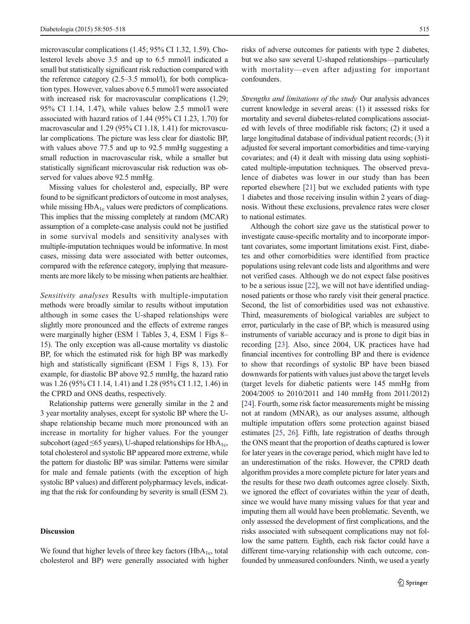microvascular complications (1.45; 95% CI 1.32, 1.59). Cholesterol levels above 3.5 and up to 6.5 mmol/l indicated a small but statistically significant risk reduction compared with the reference category (2.5–3.5 mmol/l), for both complication types. However, values above 6.5 mmol/l were associated with increased risk for macrovascular complications (1.29; 95% CI 1.14, 1.47), while values below 2.5 mmol/l were associated with hazard ratios of 1.44 (95% CI 1.23, 1.70) for macrovascular and 1.29 (95% CI 1.18, 1.41) for microvascular complications. The picture was less clear for diastolic BP, with values above 77.5 and up to 92.5 mmHg suggesting a small reduction in macrovascular risk, while a smaller but statistically significant microvascular risk reduction was observed for values above 92.5 mmHg.

Missing values for cholesterol and, especially, BP were found to be significant predictors of outcome in most analyses, while missing  $HbA_{1c}$  values were predictors of complications. This implies that the missing completely at random (MCAR) assumption of a complete-case analysis could not be justified in some survival models and sensitivity analyses with multiple-imputation techniques would be informative. In most cases, missing data were associated with better outcomes, compared with the reference category, implying that measurements are more likely to be missing when patients are healthier.

Sensitivity analyses Results with multiple-imputation methods were broadly similar to results without imputation although in some cases the U-shaped relationships were slightly more pronounced and the effects of extreme ranges were marginally higher (ESM 1 Tables 3, 4, ESM 1 Figs 8– 15). The only exception was all-cause mortality vs diastolic BP, for which the estimated risk for high BP was markedly high and statistically significant (ESM 1 Figs 8, 13). For example, for diastolic BP above 92.5 mmHg, the hazard ratio was 1.26 (95% CI 1.14, 1.41) and 1.28 (95% CI 1.12, 1.46) in the CPRD and ONS deaths, respectively.

Relationship patterns were generally similar in the 2 and 3 year mortality analyses, except for systolic BP where the Ushape relationship became much more pronounced with an increase in mortality for higher values. For the younger subcohort (aged  $\leq 65$  years), U-shaped relationships for HbA<sub>1c</sub>, total cholesterol and systolic BP appeared more extreme, while the pattern for diastolic BP was similar. Patterns were similar for male and female patients (with the exception of high systolic BP values) and different polypharmacy levels, indicating that the risk for confounding by severity is small (ESM 2).

#### **Discussion**

We found that higher levels of three key factors  $(HbA<sub>1c</sub>, total)$ cholesterol and BP) were generally associated with higher risks of adverse outcomes for patients with type 2 diabetes, but we also saw several U-shaped relationships—particularly with mortality—even after adjusting for important confounders.

Strengths and limitations of the study Our analysis advances current knowledge in several areas: (1) it assessed risks for mortality and several diabetes-related complications associated with levels of three modifiable risk factors; (2) it used a large longitudinal database of individual patient records; (3) it adjusted for several important comorbidities and time-varying covariates; and (4) it dealt with missing data using sophisticated multiple-imputation techniques. The observed prevalence of diabetes was lower in our study than has been reported elsewhere [\[21\]](#page-12-0) but we excluded patients with type 1 diabetes and those receiving insulin within 2 years of diagnosis. Without these exclusions, prevalence rates were closer to national estimates.

Although the cohort size gave us the statistical power to investigate cause-specific mortality and to incorporate important covariates, some important limitations exist. First, diabetes and other comorbidities were identified from practice populations using relevant code lists and algorithms and were not verified cases. Although we do not expect false positives to be a serious issue [[22\]](#page-12-0), we will not have identified undiagnosed patients or those who rarely visit their general practice. Second, the list of comorbidities used was not exhaustive. Third, measurements of biological variables are subject to error, particularly in the case of BP, which is measured using instruments of variable accuracy and is prone to digit bias in recording [[23\]](#page-12-0). Also, since 2004, UK practices have had financial incentives for controlling BP and there is evidence to show that recordings of systolic BP have been biased downwards for patients with values just above the target levels (target levels for diabetic patients were 145 mmHg from 2004/2005 to 2010/2011 and 140 mmHg from 2011/2012) [\[24](#page-12-0)]. Fourth, some risk factor measurements might be missing not at random (MNAR), as our analyses assume, although multiple imputation offers some protection against biased estimates [[25,](#page-13-0) [26\]](#page-13-0). Fifth, late registration of deaths through the ONS meant that the proportion of deaths captured is lower for later years in the coverage period, which might have led to an underestimation of the risks. However, the CPRD death algorithm provides a more complete picture for later years and the results for these two death outcomes agree closely. Sixth, we ignored the effect of covariates within the year of death, since we would have many missing values for that year and imputing them all would have been problematic. Seventh, we only assessed the development of first complications, and the risks associated with subsequent complications may not follow the same pattern. Eighth, each risk factor could have a different time-varying relationship with each outcome, confounded by unmeasured confounders. Ninth, we used a yearly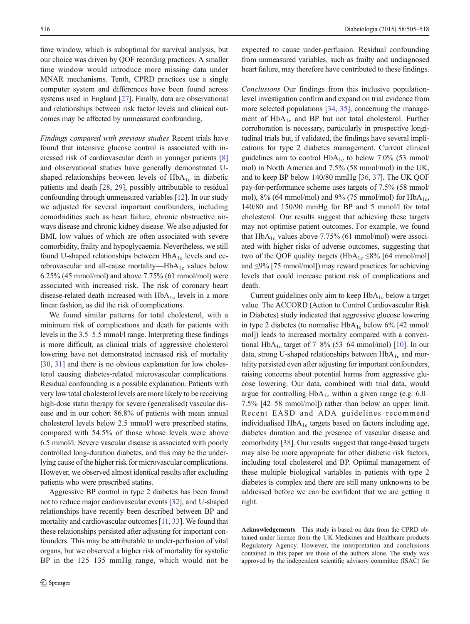time window, which is suboptimal for survival analysis, but our choice was driven by QOF recording practices. A smaller time window would introduce more missing data under MNAR mechanisms. Tenth, CPRD practices use a single computer system and differences have been found across systems used in England [[27\]](#page-13-0). Finally, data are observational and relationships between risk factor levels and clinical outcomes may be affected by unmeasured confounding.

Findings compared with previous studies Recent trials have found that intensive glucose control is associated with increased risk of cardiovascular death in younger patients [\[8\]](#page-12-0) and observational studies have generally demonstrated Ushaped relationships between levels of  $HbA_{1c}$  in diabetic patients and death [[28,](#page-13-0) [29](#page-13-0)], possibly attributable to residual confounding through unmeasured variables [[12](#page-12-0)]. In our study we adjusted for several important confounders, including comorbidities such as heart failure, chronic obstructive airways disease and chronic kidney disease. We also adjusted for BMI, low values of which are often associated with severe comorbidity, frailty and hypoglycaemia. Nevertheless, we still found U-shaped relationships between  $HbA_{1c}$  levels and cerebrovascular and all-cause mortality—Hb $A_{1c}$  values below 6.25% (45 mmol/mol) and above 7.75% (61 mmol/mol) were associated with increased risk. The risk of coronary heart disease-related death increased with  $HbA_{1c}$  levels in a more linear fashion, as did the risk of complications.

We found similar patterns for total cholesterol, with a minimum risk of complications and death for patients with levels in the 3.5–5.5 mmol/l range. Interpreting these findings is more difficult, as clinical trials of aggressive cholesterol lowering have not demonstrated increased risk of mortality [\[30,](#page-13-0) [31](#page-13-0)] and there is no obvious explanation for low cholesterol causing diabetes-related microvascular complications. Residual confounding is a possible explanation. Patients with very low total cholesterol levels are more likely to be receiving high-dose statin therapy for severe (generalised) vascular disease and in our cohort 86.8% of patients with mean annual cholesterol levels below 2.5 mmol/l were prescribed statins, compared with 54.5% of those whose levels were above 6.5 mmol/l. Severe vascular disease is associated with poorly controlled long-duration diabetes, and this may be the underlying cause of the higher risk for microvascular complications. However, we observed almost identical results after excluding patients who were prescribed statins.

Aggressive BP control in type 2 diabetes has been found not to reduce major cardiovascular events [[32](#page-13-0)], and U-shaped relationships have recently been described between BP and mortality and cardiovascular outcomes [\[11,](#page-12-0) [33\]](#page-13-0). We found that these relationships persisted after adjusting for important confounders. This may be attributable to under-perfusion of vital organs, but we observed a higher risk of mortality for systolic BP in the 125–135 mmHg range, which would not be expected to cause under-perfusion. Residual confounding from unmeasured variables, such as frailty and undiagnosed heart failure, may therefore have contributed to these findings.

Conclusions Our findings from this inclusive populationlevel investigation confirm and expand on trial evidence from more selected populations [\[34](#page-13-0), [35\]](#page-13-0), concerning the management of  $HbA_{1c}$  and BP but not total cholesterol. Further corroboration is necessary, particularly in prospective longitudinal trials but, if validated, the findings have several implications for type 2 diabetes management. Current clinical guidelines aim to control  $HbA_{1c}$  to below 7.0% (53 mmol/ mol) in North America and 7.5% (58 mmol/mol) in the UK, and to keep BP below 140/80 mmHg [\[36](#page-13-0), [37\]](#page-13-0). The UK QOF pay-for-performance scheme uses targets of 7.5% (58 mmol/ mol),  $8\%$  (64 mmol/mol) and  $9\%$  (75 mmol/mol) for HbA<sub>1c</sub>, 140/80 and 150/90 mmHg for BP and 5 mmol/l for total cholesterol. Our results suggest that achieving these targets may not optimise patient outcomes. For example, we found that  $HbA_{1c}$  values above 7.75% (61 mmol/mol) were associated with higher risks of adverse outcomes, suggesting that two of the QOF quality targets (HbA<sub>1c</sub>  $\leq$ 8% [64 mmol/mol] and ≤9% [75 mmol/mol]) may reward practices for achieving levels that could increase patient risk of complications and death.

Current guidelines only aim to keep  $HbA_{1c}$  below a target value. The ACCORD (Action to Control Cardiovascular Risk in Diabetes) study indicated that aggressive glucose lowering in type 2 diabetes (to normalise  $HbA_{1c}$  below 6% [42 mmol/ mol]) leads to increased mortality compared with a conven-tional HbA<sub>1c</sub> target of 7–8% (53–64 mmol/mol) [[10\]](#page-12-0). In our data, strong U-shaped relationships between  $HbA_{1c}$  and mortality persisted even after adjusting for important confounders, raising concerns about potential harms from aggressive glucose lowering. Our data, combined with trial data, would argue for controlling  $HbA_{1c}$  within a given range (e.g. 6.0– 7.5% [42–58 mmol/mol]) rather than below an upper limit. Recent EASD and ADA guidelines recommend individualised  $HbA_{1c}$  targets based on factors including age, diabetes duration and the presence of vascular disease and comorbidity [\[38\]](#page-13-0). Our results suggest that range-based targets may also be more appropriate for other diabetic risk factors, including total cholesterol and BP. Optimal management of these multiple biological variables in patients with type 2 diabetes is complex and there are still many unknowns to be addressed before we can be confident that we are getting it right.

Acknowledgements This study is based on data from the CPRD obtained under licence from the UK Medicines and Healthcare products Regulatory Agency. However, the interpretation and conclusions contained in this paper are those of the authors alone. The study was approved by the independent scientific advisory committee (ISAC) for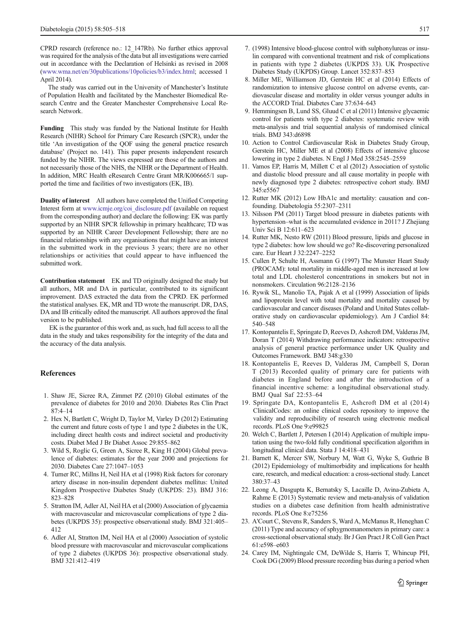<span id="page-12-0"></span>CPRD research (reference no.: 12\_147Rb). No further ethics approval was required for the analysis of the data but all investigations were carried out in accordance with the Declaration of Helsinki as revised in 2008 ([www.wma.net/en/30publications/10policies/b3/index.html;](http://www.wma.net/en/30publications/10policies/b3/index.html) accessed 1 April 2014).

The study was carried out in the University of Manchester's Institute of Population Health and facilitated by the Manchester Biomedical Research Centre and the Greater Manchester Comprehensive Local Research Network.

Funding This study was funded by the National Institute for Health Research (NIHR) School for Primary Care Research (SPCR), under the title 'An investigation of the QOF using the general practice research database' (Project no. 141). This paper presents independent research funded by the NIHR. The views expressed are those of the authors and not necessarily those of the NHS, the NIHR or the Department of Health. In addition, MRC Health eResearch Centre Grant MR/K006665/1 supported the time and facilities of two investigators (EK, IB).

Duality of interest All authors have completed the Unified Competing Interest form at [www.icmje.org/coi\\_disclosure.pdf](http://www.icmje.org/coi_disclosure.pdf) (available on request from the corresponding author) and declare the following: EK was partly supported by an NIHR SPCR fellowship in primary healthcare; TD was supported by an NIHR Career Development Fellowship; there are no financial relationships with any organisations that might have an interest in the submitted work in the previous 3 years; there are no other relationships or activities that could appear to have influenced the submitted work.

Contribution statement EK and TD originally designed the study but all authors, MR and DA in particular, contributed to its significant improvement. DAS extracted the data from the CPRD. EK performed the statistical analyses. EK, MR and TD wrote the manuscript. DR, DAS, DA and IB critically edited the manuscript. All authors approved the final version to be published.

EK is the guarantor of this work and, as such, had full access to all the data in the study and takes responsibility for the integrity of the data and the accuracy of the data analysis.

#### References

- 1. Shaw JE, Sicree RA, Zimmet PZ (2010) Global estimates of the prevalence of diabetes for 2010 and 2030. Diabetes Res Clin Pract 87:4–14
- 2. Hex N, Bartlett C, Wright D, Taylor M, Varley D (2012) Estimating the current and future costs of type 1 and type 2 diabetes in the UK, including direct health costs and indirect societal and productivity costs. Diabet Med J Br Diabet Assoc 29:855–862
- 3. Wild S, Roglic G, Green A, Sicree R, King H (2004) Global prevalence of diabetes: estimates for the year 2000 and projections for 2030. Diabetes Care 27:1047–1053
- 4. Turner RC, Millns H, Neil HA et al (1998) Risk factors for coronary artery disease in non-insulin dependent diabetes mellitus: United Kingdom Prospective Diabetes Study (UKPDS: 23). BMJ 316: 823–828
- 5. Stratton IM, Adler AI, Neil HA et al (2000) Association of glycaemia with macrovascular and microvascular complications of type 2 diabetes (UKPDS 35): prospective observational study. BMJ 321:405– 412
- 6. Adler AI, Stratton IM, Neil HA et al (2000) Association of systolic blood pressure with macrovascular and microvascular complications of type 2 diabetes (UKPDS 36): prospective observational study. BMJ 321:412–419
- 7. (1998) Intensive blood-glucose control with sulphonylureas or insulin compared with conventional treatment and risk of complications in patients with type 2 diabetes (UKPDS 33). UK Prospective Diabetes Study (UKPDS) Group. Lancet 352:837–853
- 8. Miller ME, Williamson JD, Gerstein HC et al (2014) Effects of randomization to intensive glucose control on adverse events, cardiovascular disease and mortality in older versus younger adults in the ACCORD Trial. Diabetes Care 37:634–643
- 9. Hemmingsen B, Lund SS, Gluud C et al (2011) Intensive glycaemic control for patients with type 2 diabetes: systematic review with meta-analysis and trial sequential analysis of randomised clinical trials. BMJ 343:d6898
- 10. Action to Control Cardiovascular Risk in Diabetes Study Group, Gerstein HC, Miller ME et al (2008) Effects of intensive glucose lowering in type 2 diabetes. N Engl J Med 358:2545–2559
- 11. Vamos EP, Harris M, Millett C et al (2012) Association of systolic and diastolic blood pressure and all cause mortality in people with newly diagnosed type 2 diabetes: retrospective cohort study. BMJ 345:e5567
- 12. Rutter MK (2012) Low HbA1c and mortality: causation and confounding. Diabetologia 55:2307–2311
- 13. Nilsson PM (2011) Target blood pressure in diabetes patients with hypertension–what is the accumulated evidence in 2011? J Zhejiang Univ Sci B 12:611–623
- 14. Rutter MK, Nesto RW (2011) Blood pressure, lipids and glucose in type 2 diabetes: how low should we go? Re-discovering personalized care. Eur Heart J 32:2247–2252
- 15. Cullen P, Schulte H, Assmann G (1997) The Munster Heart Study (PROCAM): total mortality in middle-aged men is increased at low total and LDL cholesterol concentrations in smokers but not in nonsmokers. Circulation 96:2128–2136
- 16. Rywik SL, Manolio TA, Pajak A et al (1999) Association of lipids and lipoprotein level with total mortality and mortality caused by cardiovascular and cancer diseases (Poland and United States collaborative study on cardiovascular epidemiology). Am J Cardiol 84: 540–548
- 17. Kontopantelis E, Springate D, Reeves D, Ashcroft DM, Valderas JM, Doran T (2014) Withdrawing performance indicators: retrospective analysis of general practice performance under UK Quality and Outcomes Framework. BMJ 348:g330
- 18. Kontopantelis E, Reeves D, Valderas JM, Campbell S, Doran T (2013) Recorded quality of primary care for patients with diabetes in England before and after the introduction of a financial incentive scheme: a longitudinal observational study. BMJ Qual Saf 22:53–64
- 19. Springate DA, Kontopantelis E, Ashcroft DM et al (2014) ClinicalCodes: an online clinical codes repository to improve the validity and reproducibility of research using electronic medical records. PLoS One 9:e99825
- 20. Welch C, Bartlett J, Petersen I (2014) Application of multiple imputation using the two-fold fully conditional specification algorithm in longitudinal clinical data. Stata J 14:418–431
- 21. Barnett K, Mercer SW, Norbury M, Watt G, Wyke S, Guthrie B (2012) Epidemiology of multimorbidity and implications for health care, research, and medical education: a cross-sectional study. Lancet 380:37–43
- 22. Leong A, Dasgupta K, Bernatsky S, Lacaille D, Avina-Zubieta A, Rahme E (2013) Systematic review and meta-analysis of validation studies on a diabetes case definition from health administrative records. PLoS One 8:e75256
- 23. A'Court C, Stevens R, Sanders S, Ward A, McManus R, Heneghan C (2011) Type and accuracy of sphygmomanometers in primary care: a cross-sectional observational study. Br J Gen Pract J R Coll Gen Pract 61:e598–e603
- 24. Carey IM, Nightingale CM, DeWilde S, Harris T, Whincup PH, Cook DG (2009) Blood pressure recording bias during a period when